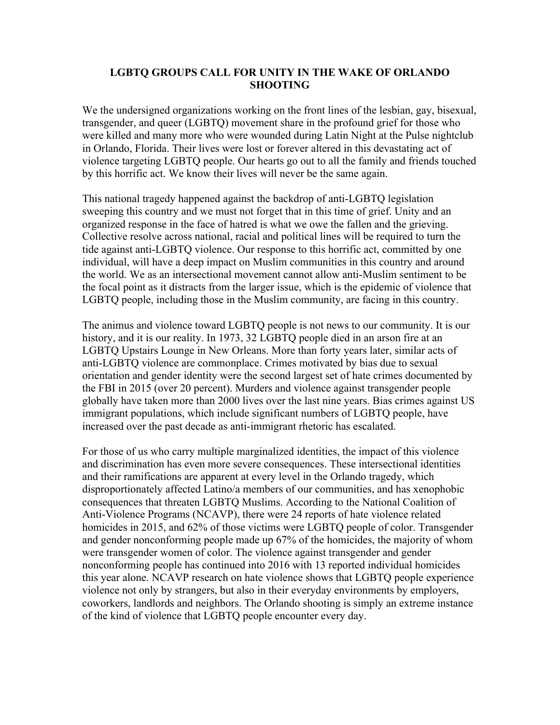## **LGBTQ GROUPS CALL FOR UNITY IN THE WAKE OF ORLANDO SHOOTING**

We the undersigned organizations working on the front lines of the lesbian, gay, bisexual, transgender, and queer (LGBTQ) movement share in the profound grief for those who were killed and many more who were wounded during Latin Night at the Pulse nightclub in Orlando, Florida. Their lives were lost or forever altered in this devastating act of violence targeting LGBTQ people. Our hearts go out to all the family and friends touched by this horrific act. We know their lives will never be the same again.

This national tragedy happened against the backdrop of anti-LGBTQ legislation sweeping this country and we must not forget that in this time of grief. Unity and an organized response in the face of hatred is what we owe the fallen and the grieving. Collective resolve across national, racial and political lines will be required to turn the tide against anti-LGBTQ violence. Our response to this horrific act, committed by one individual, will have a deep impact on Muslim communities in this country and around the world. We as an intersectional movement cannot allow anti-Muslim sentiment to be the focal point as it distracts from the larger issue, which is the epidemic of violence that LGBTQ people, including those in the Muslim community, are facing in this country.

The animus and violence toward LGBTQ people is not news to our community. It is our history, and it is our reality. In 1973, 32 LGBTQ people died in an arson fire at an LGBTQ Upstairs Lounge in New Orleans. More than forty years later, similar acts of anti-LGBTQ violence are commonplace. Crimes motivated by bias due to sexual orientation and gender identity were the second largest set of hate crimes documented by the FBI in 2015 (over 20 percent). Murders and violence against transgender people globally have taken more than 2000 lives over the last nine years. Bias crimes against US immigrant populations, which include significant numbers of LGBTQ people, have increased over the past decade as anti-immigrant rhetoric has escalated.

For those of us who carry multiple marginalized identities, the impact of this violence and discrimination has even more severe consequences. These intersectional identities and their ramifications are apparent at every level in the Orlando tragedy, which disproportionately affected Latino/a members of our communities, and has xenophobic consequences that threaten LGBTQ Muslims. According to the National Coalition of Anti-Violence Programs (NCAVP), there were 24 reports of hate violence related homicides in 2015, and 62% of those victims were LGBTQ people of color. Transgender and gender nonconforming people made up 67% of the homicides, the majority of whom were transgender women of color. The violence against transgender and gender nonconforming people has continued into 2016 with 13 reported individual homicides this year alone. NCAVP research on hate violence shows that LGBTQ people experience violence not only by strangers, but also in their everyday environments by employers, coworkers, landlords and neighbors. The Orlando shooting is simply an extreme instance of the kind of violence that LGBTQ people encounter every day.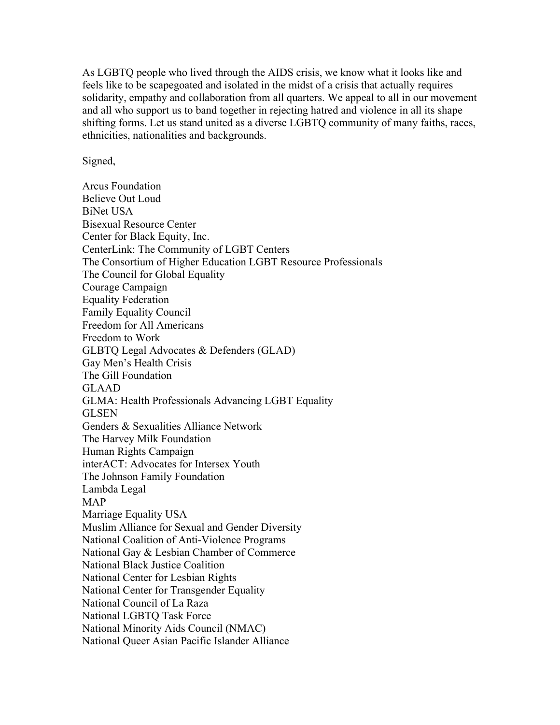As LGBTQ people who lived through the AIDS crisis, we know what it looks like and feels like to be scapegoated and isolated in the midst of a crisis that actually requires solidarity, empathy and collaboration from all quarters. We appeal to all in our movement and all who support us to band together in rejecting hatred and violence in all its shape shifting forms. Let us stand united as a diverse LGBTQ community of many faiths, races, ethnicities, nationalities and backgrounds.

Signed,

Arcus Foundation Believe Out Loud BiNet USA Bisexual Resource Center Center for Black Equity, Inc. CenterLink: The Community of LGBT Centers The Consortium of Higher Education LGBT Resource Professionals The Council for Global Equality Courage Campaign Equality Federation Family Equality Council Freedom for All Americans Freedom to Work GLBTQ Legal Advocates & Defenders (GLAD) Gay Men's Health Crisis The Gill Foundation GLAAD GLMA: Health Professionals Advancing LGBT Equality **GLSEN** Genders & Sexualities Alliance Network The Harvey Milk Foundation Human Rights Campaign interACT: Advocates for Intersex Youth The Johnson Family Foundation Lambda Legal MAP Marriage Equality USA Muslim Alliance for Sexual and Gender Diversity National Coalition of Anti-Violence Programs National Gay & Lesbian Chamber of Commerce National Black Justice Coalition National Center for Lesbian Rights National Center for Transgender Equality National Council of La Raza National LGBTQ Task Force National Minority Aids Council (NMAC) National Queer Asian Pacific Islander Alliance